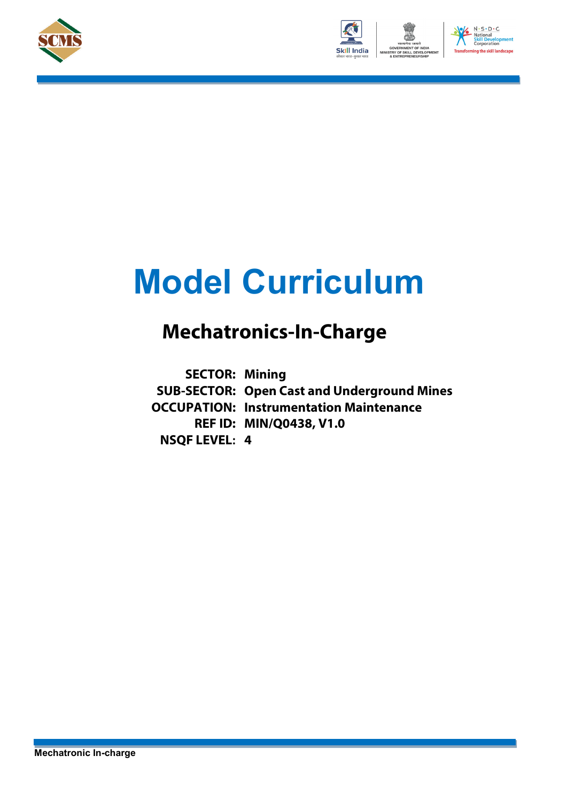





# **Model Curriculum**

## **Mechatronics-In-Charge**

**SECTOR: Mining SUB-SECTOR: Open Cast and Underground Mines OCCUPATION: Instrumentation Maintenance REF ID: MIN/Q0438, V1.0 NSQF LEVEL: 4**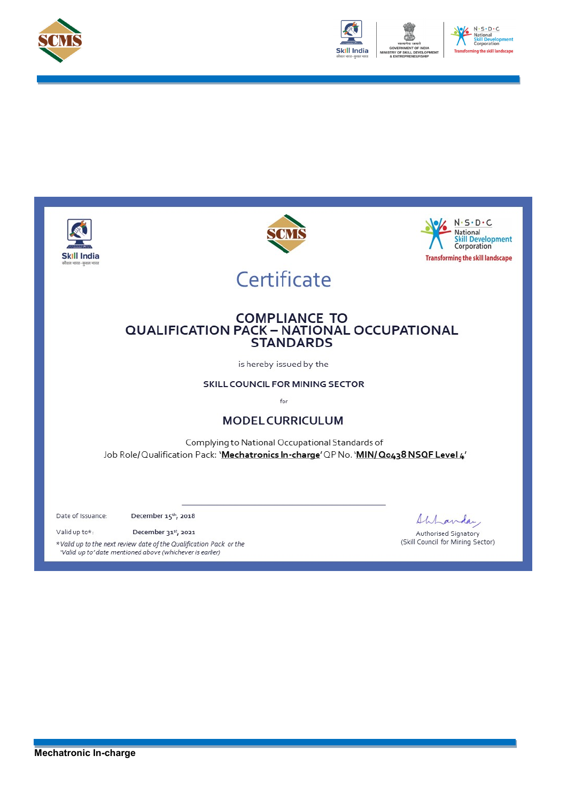



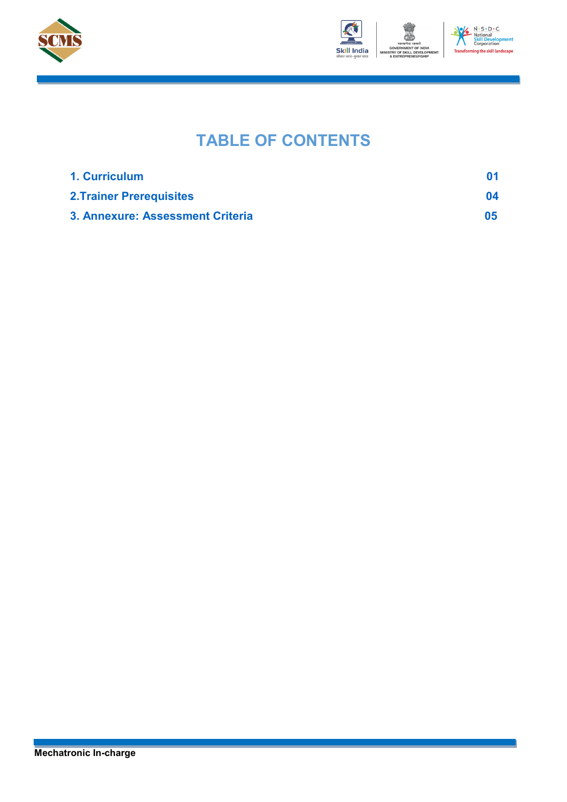



### **TABLE OF CONTENTS**

| 1. Curriculum                    |    |
|----------------------------------|----|
| <b>2. Trainer Prerequisites</b>  | 04 |
| 3. Annexure: Assessment Criteria | 05 |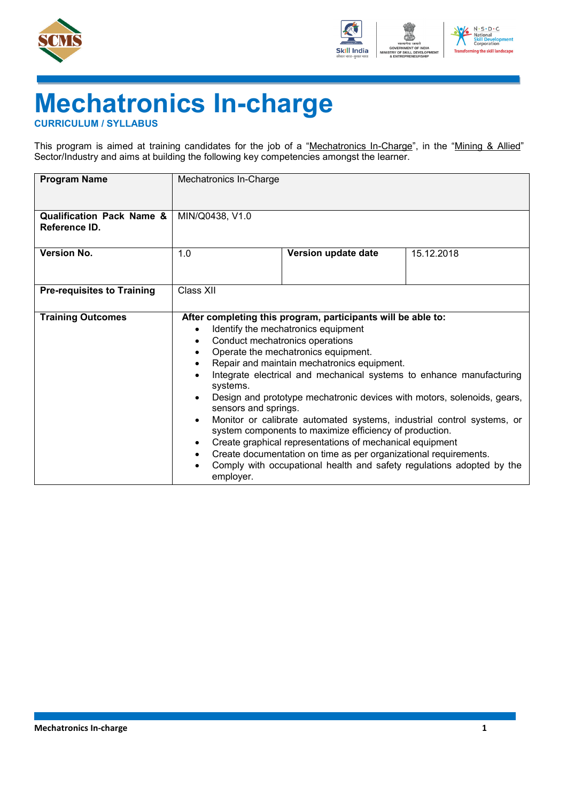



## **Mechatronics In-charge**

<span id="page-3-0"></span>**CURRICULUM / SYLLABUS**

This program is aimed at training candidates for the job of a "Mechatronics In-Charge", in the "Mining & Allied" Sector/Industry and aims at building the following key competencies amongst the learner.

| <b>Program Name</b>                                   | Mechatronics In-Charge                                                                                                |                                                                                                                                                                                                                                                                                                                                                                                                                                                                                                                                                                                                                                                                                                                                                       |            |  |
|-------------------------------------------------------|-----------------------------------------------------------------------------------------------------------------------|-------------------------------------------------------------------------------------------------------------------------------------------------------------------------------------------------------------------------------------------------------------------------------------------------------------------------------------------------------------------------------------------------------------------------------------------------------------------------------------------------------------------------------------------------------------------------------------------------------------------------------------------------------------------------------------------------------------------------------------------------------|------------|--|
| <b>Qualification Pack Name &amp;</b><br>Reference ID. | MIN/Q0438, V1.0                                                                                                       |                                                                                                                                                                                                                                                                                                                                                                                                                                                                                                                                                                                                                                                                                                                                                       |            |  |
| <b>Version No.</b>                                    | 1.0                                                                                                                   | Version update date                                                                                                                                                                                                                                                                                                                                                                                                                                                                                                                                                                                                                                                                                                                                   | 15.12.2018 |  |
| <b>Pre-requisites to Training</b>                     | Class XII                                                                                                             |                                                                                                                                                                                                                                                                                                                                                                                                                                                                                                                                                                                                                                                                                                                                                       |            |  |
| <b>Training Outcomes</b>                              | $\bullet$<br>$\bullet$<br>$\bullet$<br>٠<br>systems.<br>$\bullet$<br>$\bullet$<br>$\bullet$<br>$\bullet$<br>employer. | After completing this program, participants will be able to:<br>Identify the mechatronics equipment<br>Conduct mechatronics operations<br>Operate the mechatronics equipment.<br>Repair and maintain mechatronics equipment.<br>Integrate electrical and mechanical systems to enhance manufacturing<br>Design and prototype mechatronic devices with motors, solenoids, gears,<br>sensors and springs.<br>Monitor or calibrate automated systems, industrial control systems, or<br>system components to maximize efficiency of production.<br>Create graphical representations of mechanical equipment<br>Create documentation on time as per organizational requirements.<br>Comply with occupational health and safety regulations adopted by the |            |  |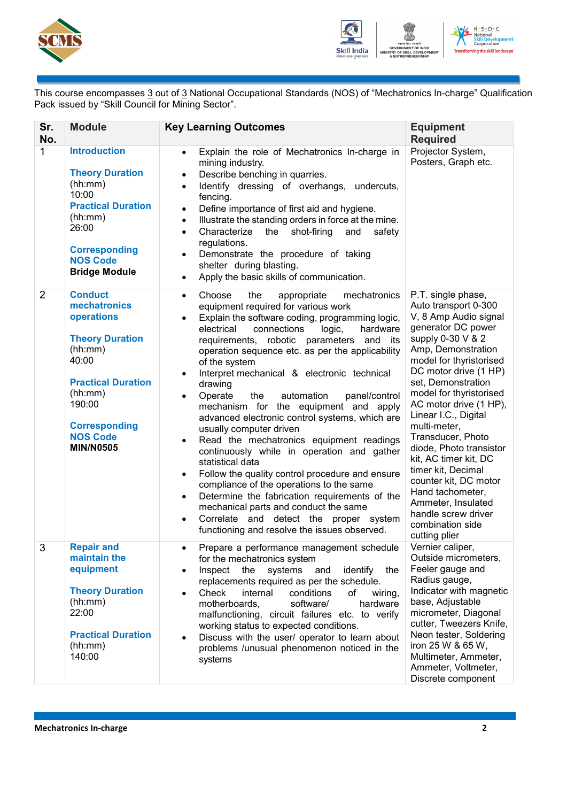



This course encompasses <u>3</u> out of <u>3</u> National Occupational Standards (NOS) of "Mechatronics In-charge" Qualification Pack issued by "Skill Council for Mining Sector".

| Sr.<br>No.     | <b>Module</b>                                                                                                                                                                                               | <b>Key Learning Outcomes</b>                                                                                                                                                                                                                                                                                                                                                                                                                                                                                                                                                                                                                                                                                                                                                                                                                                                                                                                                                                                                                         | <b>Equipment</b><br><b>Required</b>                                                                                                                                                                                                                                                                                                                                                                                                                                                                                                       |
|----------------|-------------------------------------------------------------------------------------------------------------------------------------------------------------------------------------------------------------|------------------------------------------------------------------------------------------------------------------------------------------------------------------------------------------------------------------------------------------------------------------------------------------------------------------------------------------------------------------------------------------------------------------------------------------------------------------------------------------------------------------------------------------------------------------------------------------------------------------------------------------------------------------------------------------------------------------------------------------------------------------------------------------------------------------------------------------------------------------------------------------------------------------------------------------------------------------------------------------------------------------------------------------------------|-------------------------------------------------------------------------------------------------------------------------------------------------------------------------------------------------------------------------------------------------------------------------------------------------------------------------------------------------------------------------------------------------------------------------------------------------------------------------------------------------------------------------------------------|
| 1              | <b>Introduction</b><br><b>Theory Duration</b><br>(hh:mm)<br>10:00<br><b>Practical Duration</b><br>(hh:mm)<br>26:00<br><b>Corresponding</b><br><b>NOS Code</b><br><b>Bridge Module</b>                       | Explain the role of Mechatronics In-charge in<br>$\bullet$<br>mining industry.<br>Describe benching in quarries.<br>$\bullet$<br>Identify dressing of overhangs,<br>undercuts,<br>$\bullet$<br>fencing.<br>Define importance of first aid and hygiene.<br>$\bullet$<br>Illustrate the standing orders in force at the mine.<br>$\bullet$<br>the<br>shot-firing<br>Characterize<br>and<br>safety<br>$\bullet$<br>regulations.<br>Demonstrate the procedure of taking<br>$\bullet$<br>shelter during blasting.<br>Apply the basic skills of communication.<br>$\bullet$                                                                                                                                                                                                                                                                                                                                                                                                                                                                                | Projector System,<br>Posters, Graph etc.                                                                                                                                                                                                                                                                                                                                                                                                                                                                                                  |
| $\overline{2}$ | <b>Conduct</b><br>mechatronics<br>operations<br><b>Theory Duration</b><br>(hh:mm)<br>40:00<br><b>Practical Duration</b><br>(hh:mm)<br>190:00<br><b>Corresponding</b><br><b>NOS Code</b><br><b>MIN/N0505</b> | Choose<br>the<br>appropriate<br>mechatronics<br>$\bullet$<br>equipment required for various work<br>Explain the software coding, programming logic,<br>$\bullet$<br>electrical<br>hardware<br>connections<br>logic,<br>requirements, robotic parameters and its<br>operation sequence etc. as per the applicability<br>of the system<br>Interpret mechanical & electronic technical<br>$\bullet$<br>drawing<br>Operate<br>the<br>automation<br>panel/control<br>$\bullet$<br>mechanism for the equipment and apply<br>advanced electronic control systems, which are<br>usually computer driven<br>Read the mechatronics equipment readings<br>$\bullet$<br>continuously while in operation and gather<br>statistical data<br>Follow the quality control procedure and ensure<br>$\bullet$<br>compliance of the operations to the same<br>Determine the fabrication requirements of the<br>$\bullet$<br>mechanical parts and conduct the same<br>Correlate and detect the proper system<br>$\bullet$<br>functioning and resolve the issues observed. | P.T. single phase,<br>Auto transport 0-300<br>V, 8 Amp Audio signal<br>generator DC power<br>supply 0-30 V & 2<br>Amp, Demonstration<br>model for thyristorised<br>DC motor drive (1 HP)<br>set, Demonstration<br>model for thyristorised<br>AC motor drive (1 HP),<br>Linear I.C., Digital<br>multi-meter,<br>Transducer, Photo<br>diode, Photo transistor<br>kit, AC timer kit, DC<br>timer kit, Decimal<br>counter kit, DC motor<br>Hand tachometer,<br>Ammeter, Insulated<br>handle screw driver<br>combination side<br>cutting plier |
| 3              | <b>Repair and</b><br>maintain the<br>equipment<br><b>Theory Duration</b><br>(hh:mm)<br>22:00<br><b>Practical Duration</b><br>(hh:mm)<br>140:00                                                              | Prepare a performance management schedule<br>$\bullet$<br>for the mechatronics system<br>Inspect<br>the<br>systems<br>identify<br>and<br>the<br>$\bullet$<br>replacements required as per the schedule.<br>internal<br>conditions<br>Check<br>of<br>wiring,<br>$\bullet$<br>motherboards,<br>software/<br>hardware<br>malfunctioning, circuit failures etc. to verify<br>working status to expected conditions.<br>Discuss with the user/ operator to learn about<br>$\bullet$<br>problems /unusual phenomenon noticed in the<br>systems                                                                                                                                                                                                                                                                                                                                                                                                                                                                                                             | Vernier caliper,<br>Outside micrometers,<br>Feeler gauge and<br>Radius gauge,<br>Indicator with magnetic<br>base, Adjustable<br>micrometer, Diagonal<br>cutter, Tweezers Knife,<br>Neon tester, Soldering<br>iron 25 W & 65 W,<br>Multimeter, Ammeter,<br>Ammeter, Voltmeter,<br>Discrete component                                                                                                                                                                                                                                       |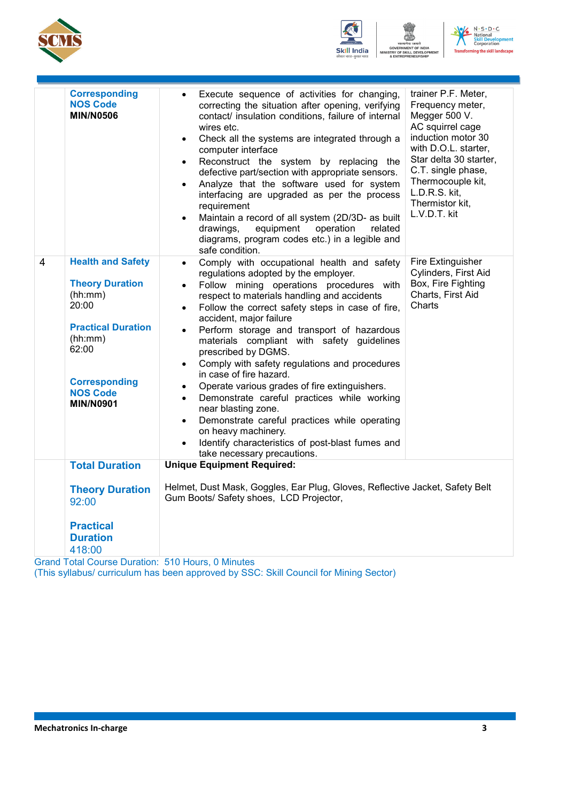





|                | <b>Corresponding</b><br><b>NOS Code</b><br><b>MIN/N0506</b>                                                                                                                            | Execute sequence of activities for changing,<br>$\bullet$<br>correcting the situation after opening, verifying<br>contact/ insulation conditions, failure of internal<br>wires etc.<br>Check all the systems are integrated through a<br>$\bullet$<br>computer interface<br>Reconstruct the system by replacing the<br>$\bullet$                                                                                                                                                                                                                                                                                                                                                                                                                                                                                                                                   | trainer P.F. Meter,<br>Frequency meter,<br>Megger 500 V.<br>AC squirrel cage<br>induction motor 30<br>with D.O.L. starter,<br>Star delta 30 starter, |  |
|----------------|----------------------------------------------------------------------------------------------------------------------------------------------------------------------------------------|--------------------------------------------------------------------------------------------------------------------------------------------------------------------------------------------------------------------------------------------------------------------------------------------------------------------------------------------------------------------------------------------------------------------------------------------------------------------------------------------------------------------------------------------------------------------------------------------------------------------------------------------------------------------------------------------------------------------------------------------------------------------------------------------------------------------------------------------------------------------|------------------------------------------------------------------------------------------------------------------------------------------------------|--|
|                |                                                                                                                                                                                        | defective part/section with appropriate sensors.<br>Analyze that the software used for system<br>$\bullet$<br>interfacing are upgraded as per the process<br>requirement<br>Maintain a record of all system (2D/3D- as built<br>$\bullet$<br>drawings,<br>equipment<br>operation<br>related<br>diagrams, program codes etc.) in a legible and<br>safe condition.                                                                                                                                                                                                                                                                                                                                                                                                                                                                                                   | C.T. single phase,<br>Thermocouple kit,<br>L.D.R.S. kit,<br>Thermistor kit,<br>L.V.D.T. kit                                                          |  |
| $\overline{4}$ | <b>Health and Safety</b><br><b>Theory Duration</b><br>(hh:mm)<br>20:00<br><b>Practical Duration</b><br>(hh:mm)<br>62:00<br><b>Corresponding</b><br><b>NOS Code</b><br><b>MIN/N0901</b> | Comply with occupational health and safety<br>$\bullet$<br>regulations adopted by the employer.<br>Follow mining operations procedures with<br>$\bullet$<br>respect to materials handling and accidents<br>Follow the correct safety steps in case of fire,<br>$\bullet$<br>accident, major failure<br>Perform storage and transport of hazardous<br>$\bullet$<br>materials compliant with safety guidelines<br>prescribed by DGMS.<br>Comply with safety regulations and procedures<br>$\bullet$<br>in case of fire hazard.<br>Operate various grades of fire extinguishers.<br>$\bullet$<br>Demonstrate careful practices while working<br>$\bullet$<br>near blasting zone.<br>Demonstrate careful practices while operating<br>$\bullet$<br>on heavy machinery.<br>Identify characteristics of post-blast fumes and<br>$\bullet$<br>take necessary precautions. | Fire Extinguisher<br>Cylinders, First Aid<br>Box, Fire Fighting<br>Charts, First Aid<br>Charts                                                       |  |
|                | <b>Total Duration</b><br><b>Theory Duration</b><br>92:00<br><b>Practical</b>                                                                                                           | <b>Unique Equipment Required:</b><br>Helmet, Dust Mask, Goggles, Ear Plug, Gloves, Reflective Jacket, Safety Belt<br>Gum Boots/ Safety shoes, LCD Projector,                                                                                                                                                                                                                                                                                                                                                                                                                                                                                                                                                                                                                                                                                                       |                                                                                                                                                      |  |
|                | <b>Duration</b><br>418:00<br><b>Grand Total Course Duration: 510 Hours, 0 Minutes</b>                                                                                                  |                                                                                                                                                                                                                                                                                                                                                                                                                                                                                                                                                                                                                                                                                                                                                                                                                                                                    |                                                                                                                                                      |  |

(This syllabus/ curriculum has been approved by SSC: Skill Council for Mining Sector)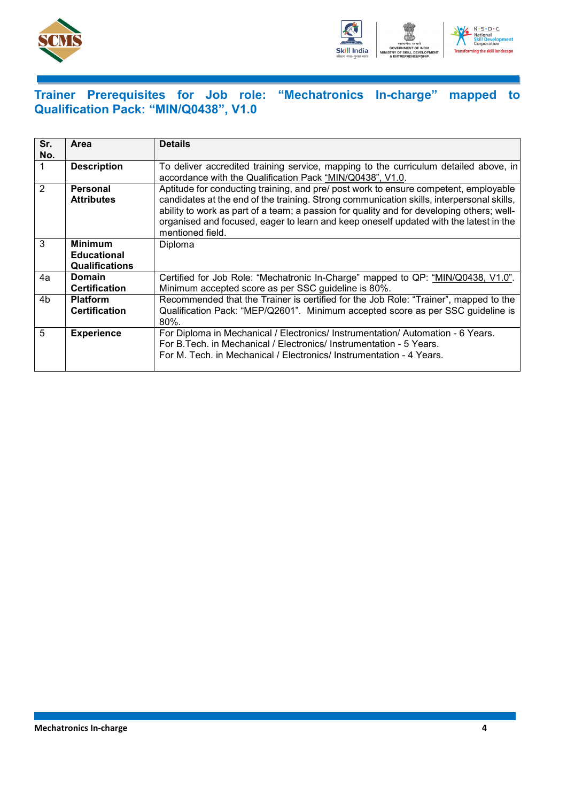



### <span id="page-6-0"></span>**Trainer Prerequisites for Job role: "Mechatronics In-charge" mapped to Qualification Pack: "MIN/Q0438", V1.0**

| Sr.<br>No.     | Area                                                          | <b>Details</b>                                                                                                                                                                                                                                                                                                                                                                              |
|----------------|---------------------------------------------------------------|---------------------------------------------------------------------------------------------------------------------------------------------------------------------------------------------------------------------------------------------------------------------------------------------------------------------------------------------------------------------------------------------|
|                | <b>Description</b>                                            | To deliver accredited training service, mapping to the curriculum detailed above, in<br>accordance with the Qualification Pack "MIN/Q0438", V1.0.                                                                                                                                                                                                                                           |
| $\overline{2}$ | <b>Personal</b><br><b>Attributes</b>                          | Aptitude for conducting training, and pre/ post work to ensure competent, employable<br>candidates at the end of the training. Strong communication skills, interpersonal skills,<br>ability to work as part of a team; a passion for quality and for developing others; well-<br>organised and focused, eager to learn and keep oneself updated with the latest in the<br>mentioned field. |
| 3              | <b>Minimum</b><br><b>Educational</b><br><b>Qualifications</b> | Diploma                                                                                                                                                                                                                                                                                                                                                                                     |
| 4a             | <b>Domain</b><br><b>Certification</b>                         | Certified for Job Role: "Mechatronic In-Charge" mapped to QP: "MIN/Q0438, V1.0".<br>Minimum accepted score as per SSC guideline is 80%.                                                                                                                                                                                                                                                     |
| 4b             | <b>Platform</b><br><b>Certification</b>                       | Recommended that the Trainer is certified for the Job Role: "Trainer", mapped to the<br>Qualification Pack: "MEP/Q2601". Minimum accepted score as per SSC guideline is<br>$80\%$ .                                                                                                                                                                                                         |
| 5              | <b>Experience</b>                                             | For Diploma in Mechanical / Electronics/ Instrumentation/ Automation - 6 Years.<br>For B. Tech. in Mechanical / Electronics/ Instrumentation - 5 Years.<br>For M. Tech. in Mechanical / Electronics/ Instrumentation - 4 Years.                                                                                                                                                             |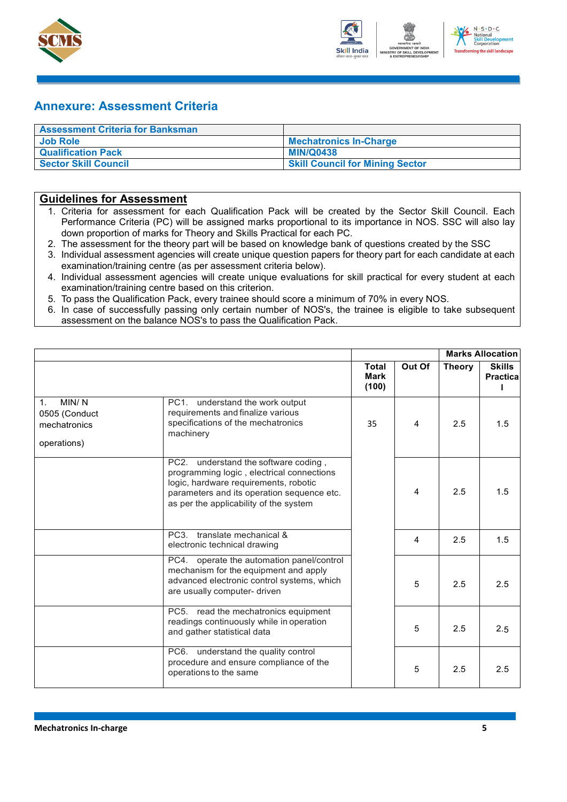



### <span id="page-7-0"></span>**Annexure: Assessment Criteria**

| <b>Assessment Criteria for Banksman</b> |                                        |
|-----------------------------------------|----------------------------------------|
| Job Role                                | <b>Mechatronics In-Charge</b>          |
| <b>Qualification Pack</b>               | <b>MIN/Q0438</b>                       |
| Sector Skill Council                    | <b>Skill Council for Mining Sector</b> |

#### **Guidelines for Assessment**

- 1. Criteria for assessment for each Qualification Pack will be created by the Sector Skill Council. Each Performance Criteria (PC) will be assigned marks proportional to its importance in NOS. SSC will also lay down proportion of marks for Theory and Skills Practical for each PC.
- 2. The assessment for the theory part will be based on knowledge bank of questions created by the SSC
- 3. Individual assessment agencies will create unique question papers for theory part for each candidate at each examination/training centre (as per assessment criteria below).
- 4. Individual assessment agencies will create unique evaluations for skill practical for every student at each examination/training centre based on this criterion.
- 5. To pass the Qualification Pack, every trainee should score a minimum of 70% in every NOS.
- 6. In case of successfully passing only certain number of NOS's, the trainee is eligible to take subsequent assessment on the balance NOS's to pass the Qualification Pack.

|                                                                         |                                                                                                                                                                                                                                    |                               |        |               | <b>Marks Allocation</b>           |  |
|-------------------------------------------------------------------------|------------------------------------------------------------------------------------------------------------------------------------------------------------------------------------------------------------------------------------|-------------------------------|--------|---------------|-----------------------------------|--|
|                                                                         |                                                                                                                                                                                                                                    | <b>Total</b><br>Mark<br>(100) | Out Of | <b>Theory</b> | <b>Skills</b><br><b>Practical</b> |  |
| MIN/N<br>1 <sub>1</sub><br>0505 (Conduct<br>mechatronics<br>operations) | PC1. understand the work output<br>requirements and finalize various<br>specifications of the mechatronics<br>machinery                                                                                                            | 35                            | 4      | 2.5           | 1.5                               |  |
|                                                                         | PC <sub>2</sub> .<br>understand the software coding,<br>programming logic, electrical connections<br>logic, hardware requirements, robotic<br>parameters and its operation sequence etc.<br>as per the applicability of the system |                               | 4      | 2.5           | 1.5                               |  |
|                                                                         | PC <sub>3</sub><br>translate mechanical &<br>electronic technical drawing                                                                                                                                                          |                               | 4      | 2.5           | 1.5                               |  |
|                                                                         | PC4. operate the automation panel/control<br>mechanism for the equipment and apply<br>advanced electronic control systems, which<br>are usually computer- driven                                                                   |                               | 5      | 2.5           | 2.5                               |  |
|                                                                         | PC5. read the mechatronics equipment<br>readings continuously while in operation<br>and gather statistical data                                                                                                                    |                               | 5      | 2.5           | 2.5                               |  |
|                                                                         | PC6. understand the quality control<br>procedure and ensure compliance of the<br>operations to the same                                                                                                                            |                               | 5      | 2.5           | 2.5                               |  |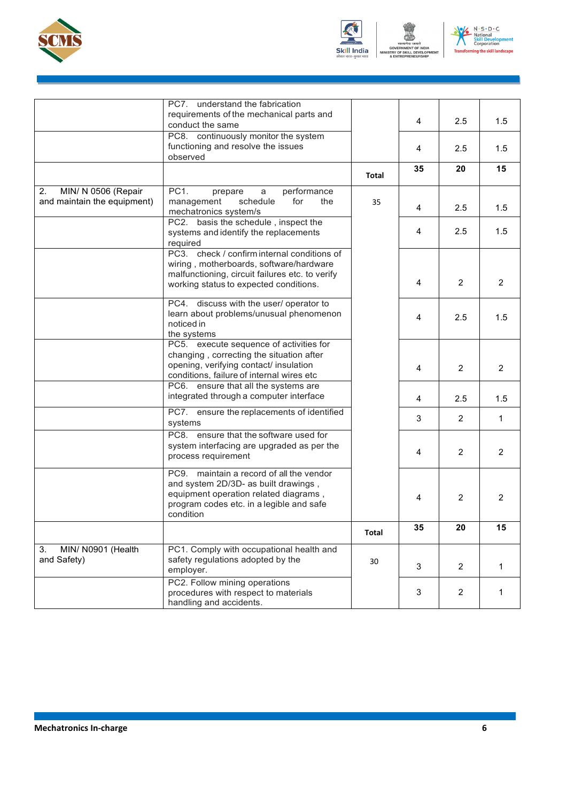





|                             | PC7. understand the fabrication                                                            |              |                |                |                |
|-----------------------------|--------------------------------------------------------------------------------------------|--------------|----------------|----------------|----------------|
|                             | requirements of the mechanical parts and<br>conduct the same                               |              | 4              | 2.5            | 1.5            |
|                             | PC8. continuously monitor the system                                                       |              |                |                |                |
|                             | functioning and resolve the issues                                                         |              | 4              | 2.5            | 1.5            |
|                             | observed                                                                                   |              |                |                |                |
|                             |                                                                                            | Total        | 35             | 20             | 15             |
| MIN/ N 0506 (Repair<br>2.   | PC1.<br>performance<br>prepare<br>a                                                        |              |                |                |                |
| and maintain the equipment) | schedule<br>for<br>management<br>the<br>mechatronics system/s                              | 35           | 4              | 2.5            | 1.5            |
|                             | PC2. basis the schedule, inspect the                                                       |              |                |                |                |
|                             | systems and identify the replacements                                                      |              | 4              | 2.5            | 1.5            |
|                             | required                                                                                   |              |                |                |                |
|                             | PC3. check / confirm internal conditions of                                                |              |                |                |                |
|                             | wiring, motherboards, software/hardware<br>malfunctioning, circuit failures etc. to verify |              |                |                |                |
|                             | working status to expected conditions.                                                     |              | 4              | $\overline{2}$ | $\overline{2}$ |
|                             |                                                                                            |              |                |                |                |
|                             | PC4. discuss with the user/ operator to                                                    |              |                |                |                |
|                             | learn about problems/unusual phenomenon                                                    |              | 4              | 2.5            | 1.5            |
|                             | noticed in                                                                                 |              |                |                |                |
|                             | the systems                                                                                |              |                |                |                |
|                             | PC5. execute sequence of activities for<br>changing, correcting the situation after        |              |                |                |                |
|                             | opening, verifying contact/ insulation                                                     |              |                |                |                |
|                             | conditions, failure of internal wires etc                                                  |              | 4              | $\overline{2}$ | $\overline{2}$ |
|                             | PC6. ensure that all the systems are                                                       |              |                |                |                |
|                             | integrated through a computer interface                                                    |              | 4              | 2.5            | 1.5            |
|                             | PC7. ensure the replacements of identified                                                 |              |                |                |                |
|                             | systems                                                                                    |              | 3              | $\overline{2}$ | $\mathbf{1}$   |
|                             | PC8. ensure that the software used for                                                     |              |                |                |                |
|                             | system interfacing are upgraded as per the                                                 |              |                |                |                |
|                             | process requirement                                                                        |              | $\overline{4}$ | $\overline{2}$ | $\overline{2}$ |
|                             | PC9. maintain a record of all the vendor                                                   |              |                |                |                |
|                             | and system 2D/3D- as built drawings,                                                       |              |                |                |                |
|                             | equipment operation related diagrams,                                                      |              | 4              | $\overline{2}$ | 2              |
|                             | program codes etc. in a legible and safe                                                   |              |                |                |                |
|                             | condition                                                                                  |              |                |                |                |
|                             |                                                                                            | <b>Total</b> | 35             | 20             | 15             |
| MIN/ N0901 (Health<br>3.    | PC1. Comply with occupational health and                                                   |              |                |                |                |
| and Safety)                 | safety regulations adopted by the                                                          | 30           |                |                |                |
|                             | employer.                                                                                  |              | 3              | $\overline{2}$ | 1              |
|                             | PC2. Follow mining operations                                                              |              |                |                |                |
|                             | procedures with respect to materials                                                       |              | 3              | $\overline{2}$ | 1              |
|                             | handling and accidents.                                                                    |              |                |                |                |